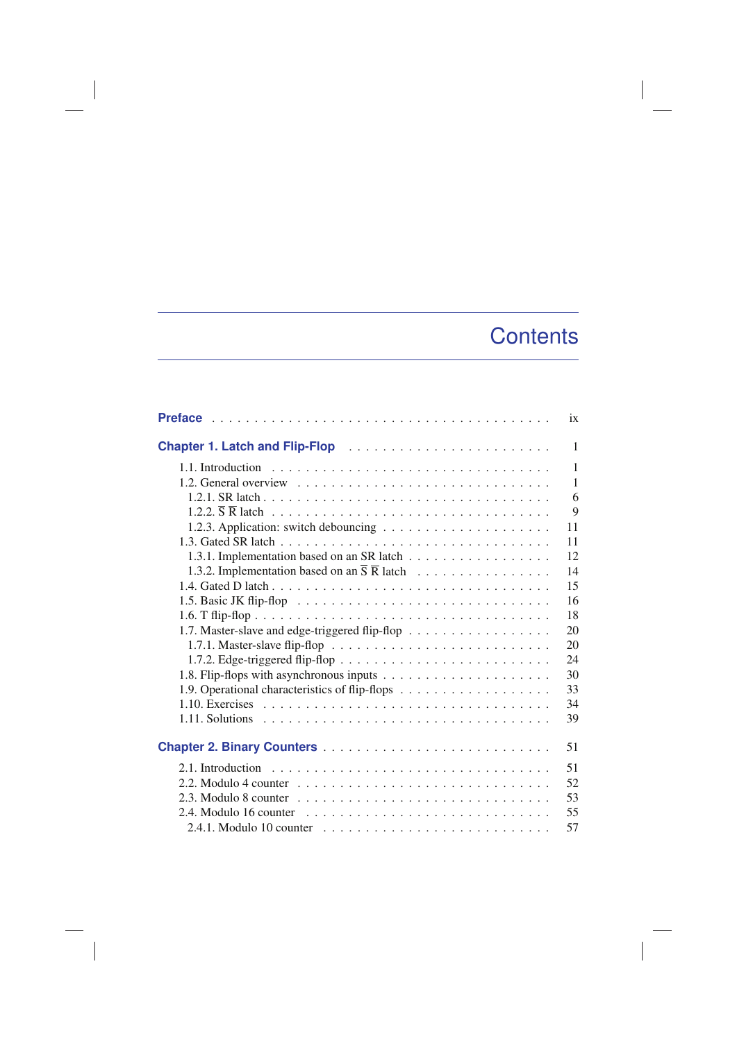## **Contents**

|                                                                     | ix           |
|---------------------------------------------------------------------|--------------|
|                                                                     | $\mathbf{1}$ |
|                                                                     | $\mathbf{1}$ |
|                                                                     | $\mathbf{1}$ |
|                                                                     | 6            |
|                                                                     | 9            |
|                                                                     | 11           |
|                                                                     | 11           |
| 1.3.1. Implementation based on an SR latch                          | 12           |
| 1.3.2. Implementation based on an $\overline{S} \overline{R}$ latch | 14           |
|                                                                     | 15           |
|                                                                     | 16           |
|                                                                     | 18           |
| 1.7. Master-slave and edge-triggered flip-flop                      | 20           |
|                                                                     | 20           |
|                                                                     | 24           |
|                                                                     | 30           |
|                                                                     | 33           |
|                                                                     | 34           |
|                                                                     | 39           |
|                                                                     | 51           |
|                                                                     | 51           |
|                                                                     | 52           |
|                                                                     | 53           |
|                                                                     | 55           |
|                                                                     | 57           |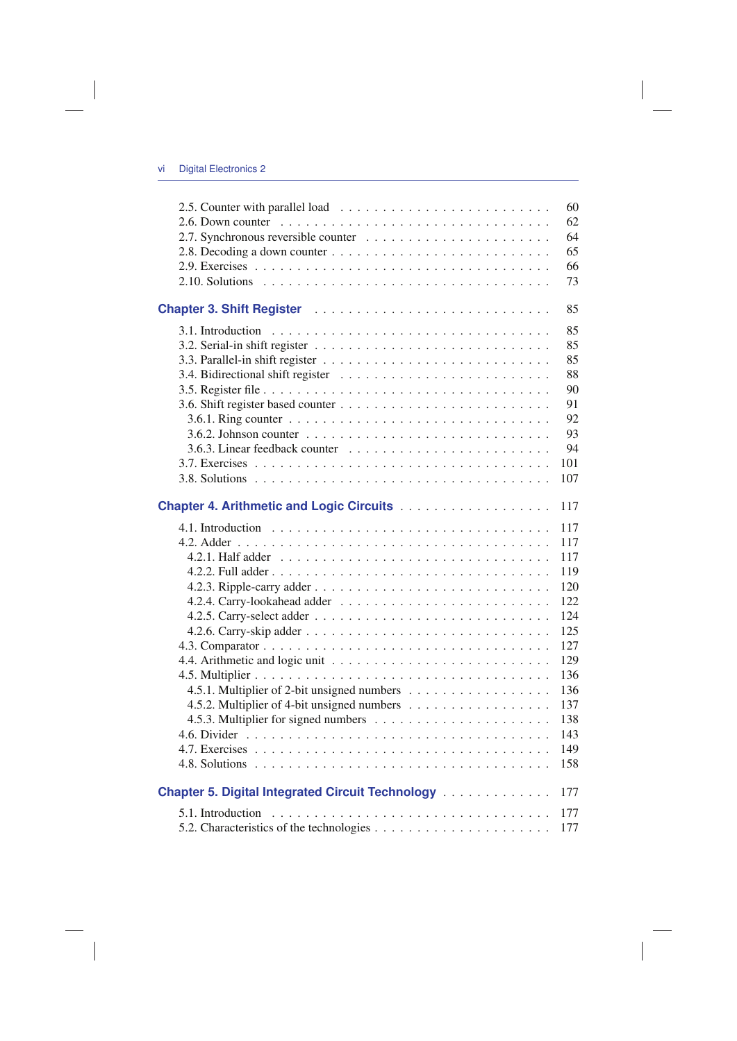$\overline{\phantom{a}}$ 

 $\begin{array}{c} \hline \end{array}$ 

|                                                                                                  | 60  |
|--------------------------------------------------------------------------------------------------|-----|
|                                                                                                  | 62  |
|                                                                                                  | 64  |
|                                                                                                  | 65  |
|                                                                                                  | 66  |
|                                                                                                  | 73  |
|                                                                                                  | 85  |
|                                                                                                  | 85  |
|                                                                                                  | 85  |
|                                                                                                  | 85  |
|                                                                                                  | 88  |
|                                                                                                  | 90  |
|                                                                                                  | 91  |
|                                                                                                  | 92  |
|                                                                                                  | 93  |
|                                                                                                  |     |
|                                                                                                  | 94  |
|                                                                                                  | 101 |
|                                                                                                  | 107 |
|                                                                                                  | 117 |
|                                                                                                  |     |
|                                                                                                  | 117 |
|                                                                                                  | 117 |
|                                                                                                  | 117 |
|                                                                                                  | 119 |
|                                                                                                  |     |
|                                                                                                  | 120 |
|                                                                                                  | 122 |
|                                                                                                  | 124 |
|                                                                                                  | 125 |
|                                                                                                  | 127 |
|                                                                                                  | 129 |
|                                                                                                  | 136 |
| 4.5.1. Multiplier of 2-bit unsigned numbers                                                      | 136 |
|                                                                                                  | 137 |
|                                                                                                  | 138 |
|                                                                                                  | 143 |
|                                                                                                  | 149 |
|                                                                                                  | 158 |
| Chapter 5. Digital Integrated Circuit Technology                                                 | 177 |
| 5.1. Introduction $\ldots \ldots \ldots \ldots \ldots \ldots \ldots \ldots \ldots \ldots \ldots$ | 177 |

 $\overline{\phantom{a}}$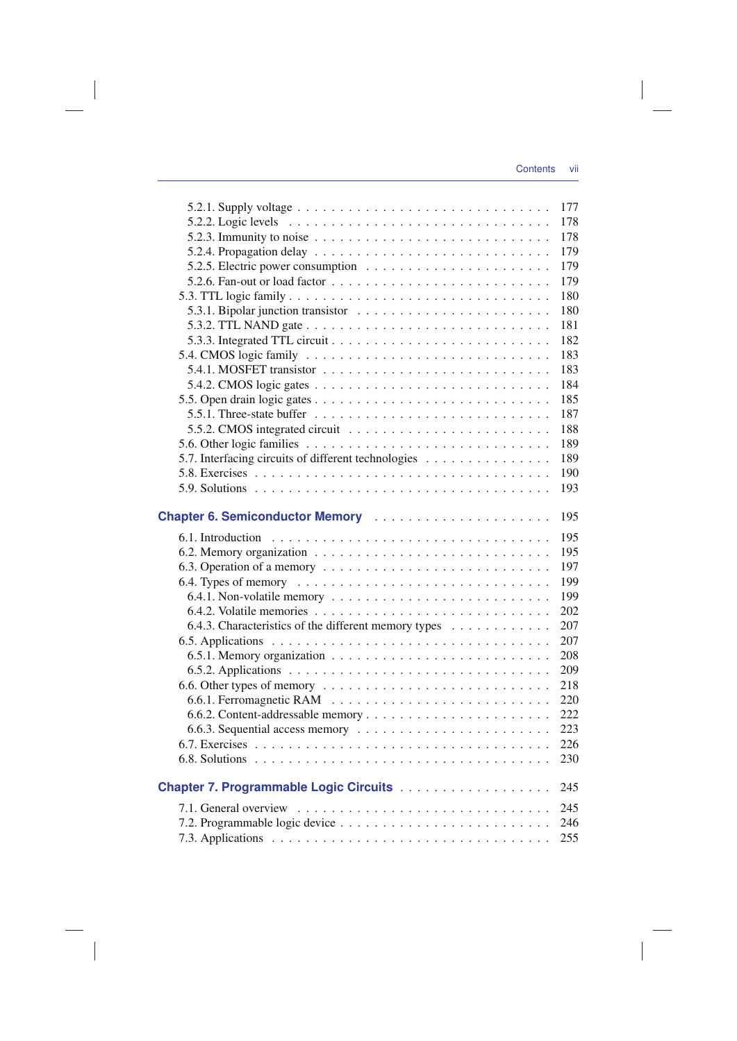$\overline{\phantom{a}}$ 

| 5.2.1. Supply voltage $\ldots \ldots \ldots \ldots \ldots \ldots \ldots \ldots \ldots$    | 177 |
|-------------------------------------------------------------------------------------------|-----|
|                                                                                           | 178 |
| 5.2.3. Immunity to noise $\ldots \ldots \ldots \ldots \ldots \ldots \ldots \ldots \ldots$ | 178 |
|                                                                                           | 179 |
|                                                                                           | 179 |
|                                                                                           | 179 |
|                                                                                           | 180 |
|                                                                                           | 180 |
|                                                                                           | 181 |
|                                                                                           | 182 |
|                                                                                           | 183 |
|                                                                                           | 183 |
|                                                                                           | 184 |
|                                                                                           | 185 |
|                                                                                           | 187 |
|                                                                                           | 188 |
|                                                                                           | 189 |
| 5.7. Interfacing circuits of different technologies                                       | 189 |
|                                                                                           | 190 |
|                                                                                           | 193 |
|                                                                                           |     |
|                                                                                           | 195 |
|                                                                                           | 195 |
|                                                                                           | 195 |
|                                                                                           | 197 |
|                                                                                           | 199 |
|                                                                                           | 199 |
|                                                                                           | 202 |
| 6.4.3. Characteristics of the different memory types                                      | 207 |
|                                                                                           | 207 |
|                                                                                           | 208 |
|                                                                                           | 209 |
|                                                                                           | 218 |
|                                                                                           | 220 |
|                                                                                           | 222 |
|                                                                                           | 223 |
|                                                                                           | 226 |
|                                                                                           | 230 |
|                                                                                           |     |
|                                                                                           | 245 |
|                                                                                           | 245 |
|                                                                                           | 246 |
|                                                                                           | 255 |

 $\overline{\phantom{a}}$ 

 $\overline{\phantom{a}}$